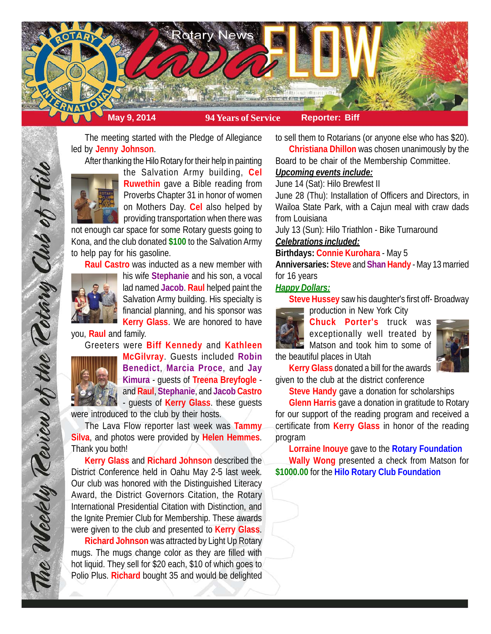

The meeting started with the Pledge of Allegiance led by **Jenny Johnson**.

After thanking the Hilo Rotary for their help in painting



the Salvation Army building, **Cel Ruwethin** gave a Bible reading from Proverbs Chapter 31 in honor of women on Mothers Day. **Cel** also helped by providing transportation when there was

not enough car space for some Rotary guests going to Kona, and the club donated **\$100** to the Salvation Army to help pay for his gasoline.

**Raul Castro** was inducted as a new member with



his wife **Stephanie** and his son, a vocal lad named **Jacob**. **Raul** helped paint the Salvation Army building. His specialty is financial planning, and his sponsor was **Kerry Glass**. We are honored to have

you, **Raul** and family.

Greeters were **Biff Kennedy** and **Kathleen**



The Weekly Teview of the Tetary Club of Hilo

**McGilvray**. Guests included **Robin Benedict**, **Marcia Proce**, and **Jay Kimura** - guests of **Treena Breyfogle** and **Raul**, **Stephanie**, and **Jacob Castro** - guests of **Kerry Glass**. these guests

were introduced to the club by their hosts.

The Lava Flow reporter last week was **Tammy Silva**, and photos were provided by **Helen Hemmes**. Thank you both!

**Kerry Glass** and **Richard Johnson** described the District Conference held in Oahu May 2-5 last week. Our club was honored with the Distinguished Literacy Award, the District Governors Citation, the Rotary International Presidential Citation with Distinction, and the Ignite Premier Club for Membership. These awards were given to the club and presented to **Kerry Glass**.

**Richard Johnson** was attracted by Light Up Rotary mugs. The mugs change color as they are filled with hot liquid. They sell for \$20 each, \$10 of which goes to Polio Plus. **Richard** bought 35 and would be delighted to sell them to Rotarians (or anyone else who has \$20).

**Christiana Dhillon** was chosen unanimously by the Board to be chair of the Membership Committee.

# *Upcoming events include:*

June 14 (Sat): Hilo Brewfest II

June 28 (Thu): Installation of Officers and Directors, in Wailoa State Park, with a Cajun meal with craw dads from Louisiana

July 13 (Sun): Hilo Triathlon - Bike Turnaround

### *Celebrations included:*

## **Birthdays: Connie Kurohara** - May 5

**Anniversaries: Steve** and **Shan Handy** - May 13 married for 16 years

### *Happy Dollars:*

**Steve Hussey** saw his daughter's first off- Broadway



production in New York City

**Chuck Porter's** truck was exceptionally well treated by **Matson and took him to some of** the beautiful places in Utah



**Kerry Glass** donated a bill for the awards given to the club at the district conference

**Steve Handy** gave a donation for scholarships

**Glenn Harris** gave a donation in gratitude to Rotary for our support of the reading program and received a certificate from **Kerry Glass** in honor of the reading program

**Lorraine Inouye** gave to the **Rotary Foundation Wally Wong** presented a check from Matson for **\$1000.00** for the **Hilo Rotary Club Foundation**